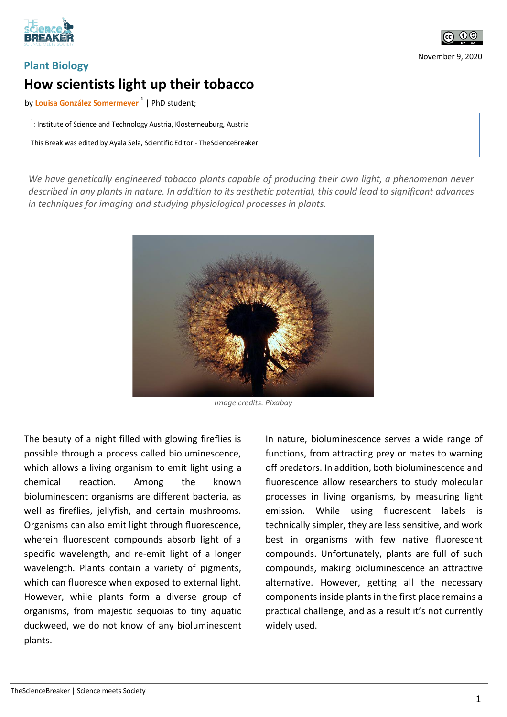



## **Plant Biology How scientists light up their tobacco**

by **Louisa González Somermeyer <sup>1</sup>** | PhD student;

 $1$ : Institute of Science and Technology Austria, Klosterneuburg, Austria

This Break was edited by Ayala Sela, Scientific Editor - TheScienceBreaker

*We have genetically engineered tobacco plants capable of producing their own light, a phenomenon never described in any plants in nature. In addition to its aesthetic potential, this could lead to significant advances in techniques for imaging and studying physiological processes in plants.*



*Image credits: Pixabay*

The beauty of a night filled with glowing fireflies is possible through a process called bioluminescence, which allows a living organism to emit light using a chemical reaction. Among the known bioluminescent organisms are different bacteria, as well as fireflies, jellyfish, and certain mushrooms. Organisms can also emit light through fluorescence, wherein fluorescent compounds absorb light of a specific wavelength, and re-emit light of a longer wavelength. Plants contain a variety of pigments, which can fluoresce when exposed to external light. However, while plants form a diverse group of organisms, from majestic sequoias to tiny aquatic duckweed, we do not know of any bioluminescent plants.

In nature, bioluminescence serves a wide range of functions, from attracting prey or mates to warning off predators. In addition, both bioluminescence and fluorescence allow researchers to study molecular processes in living organisms, by measuring light emission. While using fluorescent labels is technically simpler, they are less sensitive, and work best in organisms with few native fluorescent compounds. Unfortunately, plants are full of such compounds, making bioluminescence an attractive alternative. However, getting all the necessary components inside plants in the first place remains a practical challenge, and as a result it's not currently widely used.